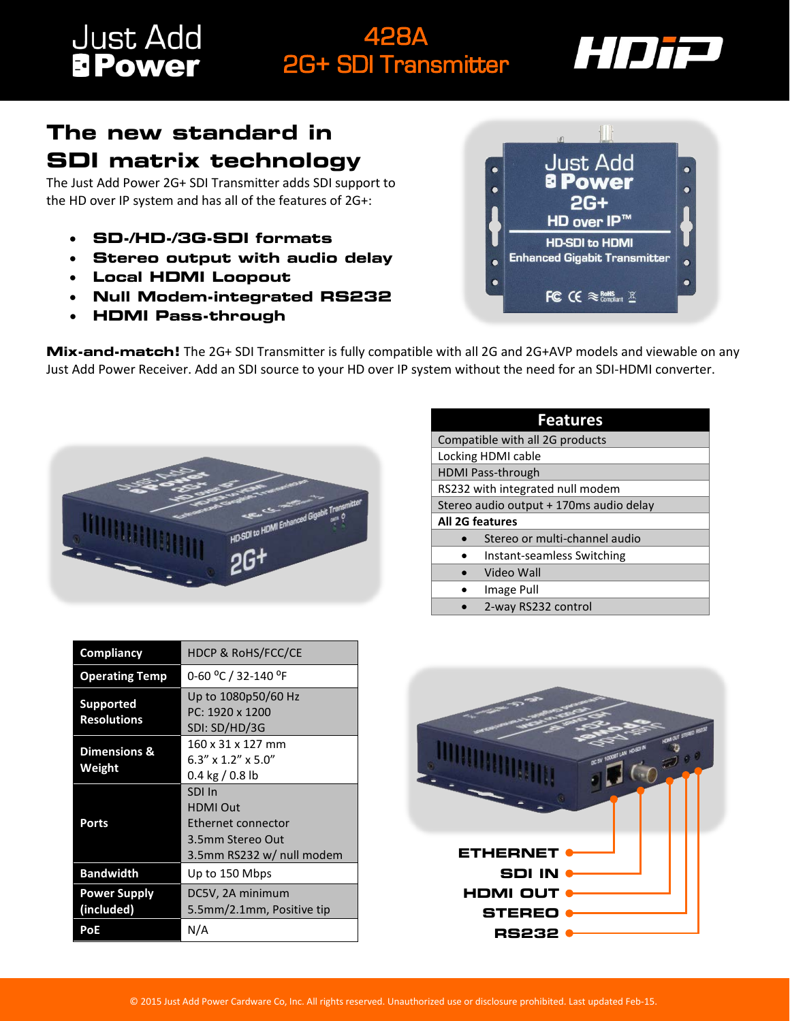## **Just Add**<br>**BPower**

## 428A 2G+ SDI Transmitter



## **The new standard in SDI matrix technology**

The Just Add Power 2G+ SDI Transmitter adds SDI support to the HD over IP system and has all of the features of 2G+:

- **SD-/HD-/3G-SDI formats**
- **Stereo output with audio delay**
- **Local HDMI Loopout**
- **Null Modem-integrated RS232**
- **HDMI Pass-through**



**Mix-and-match!** The 2G+ SDI Transmitter is fully compatible with all 2G and 2G+AVP models and viewable on any Just Add Power Receiver. Add an SDI source to your HD over IP system without the need for an SDI-HDMI converter.



| <b>Features</b>                         |  |
|-----------------------------------------|--|
| Compatible with all 2G products         |  |
| Locking HDMI cable                      |  |
| <b>HDMI Pass-through</b>                |  |
| RS232 with integrated null modem        |  |
| Stereo audio output + 170ms audio delay |  |
| <b>All 2G features</b>                  |  |
| Stereo or multi-channel audio           |  |
| Instant-seamless Switching              |  |
| Video Wall                              |  |
| Image Pull                              |  |
| 2-way RS232 control                     |  |

| Compliancy                             | <b>HDCP &amp; RoHS/FCC/CE</b>                                                                    |
|----------------------------------------|--------------------------------------------------------------------------------------------------|
| <b>Operating Temp</b>                  | 0-60 °C / 32-140 °F                                                                              |
| <b>Supported</b><br><b>Resolutions</b> | Up to 1080p50/60 Hz<br>PC: 1920 x 1200<br>SDI: SD/HD/3G                                          |
| <b>Dimensions &amp;</b><br>Weight      | 160 x 31 x 127 mm<br>$6.3'' \times 1.2'' \times 5.0''$<br>0.4 kg / 0.8 lb                        |
| Ports                                  | SDI In<br><b>HDMI Out</b><br>Ethernet connector<br>3.5mm Stereo Out<br>3.5mm RS232 w/ null modem |
| <b>Bandwidth</b>                       | Up to 150 Mbps                                                                                   |
| <b>Power Supply</b><br>(included)      | DC5V, 2A minimum<br>5.5mm/2.1mm, Positive tip                                                    |
| PoE                                    | N/A                                                                                              |